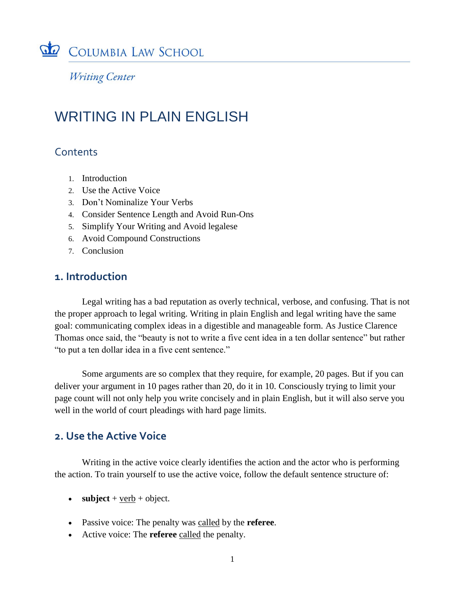

**Writing Center** 

# WRITING IN PLAIN ENGLISH

# **Contents**

- 1. Introduction
- 2. Use the Active Voice
- 3. Don't Nominalize Your Verbs
- 4. Consider Sentence Length and Avoid Run-Ons
- 5. Simplify Your Writing and Avoid legalese
- 6. Avoid Compound Constructions
- 7. Conclusion

# **1. Introduction**

Legal writing has a bad reputation as overly technical, verbose, and confusing. That is not the proper approach to legal writing. Writing in plain English and legal writing have the same goal: communicating complex ideas in a digestible and manageable form. As Justice Clarence Thomas once said, the "beauty is not to write a five cent idea in a ten dollar sentence" but rather "to put a ten dollar idea in a five cent sentence."

Some arguments are so complex that they require, for example, 20 pages. But if you can deliver your argument in 10 pages rather than 20, do it in 10. Consciously trying to limit your page count will not only help you write concisely and in plain English, but it will also serve you well in the world of court pleadings with hard page limits.

## **2. Use the Active Voice**

Writing in the active voice clearly identifies the action and the actor who is performing the action. To train yourself to use the active voice, follow the default sentence structure of:

- **subject** +  $verb$  + object.</u>
- Passive voice: The penalty was called by the **referee**.
- Active voice: The **referee** called the penalty.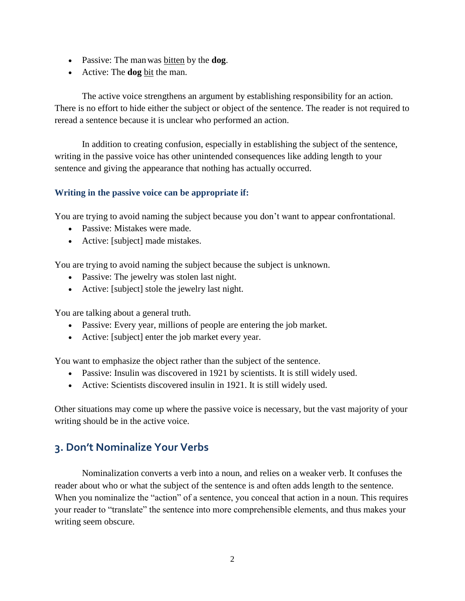- Passive: The manwas bitten by the **dog**.
- Active: The **dog** bit the man.

The active voice strengthens an argument by establishing responsibility for an action. There is no effort to hide either the subject or object of the sentence. The reader is not required to reread a sentence because it is unclear who performed an action.

In addition to creating confusion, especially in establishing the subject of the sentence, writing in the passive voice has other unintended consequences like adding length to your sentence and giving the appearance that nothing has actually occurred.

#### **Writing in the passive voice can be appropriate if:**

You are trying to avoid naming the subject because you don't want to appear confrontational.

- Passive: Mistakes were made.
- Active: [subject] made mistakes.

You are trying to avoid naming the subject because the subject is unknown.

- Passive: The jewelry was stolen last night.
- Active: [subject] stole the jewelry last night.

You are talking about a general truth.

- Passive: Every year, millions of people are entering the job market.
- Active: [subject] enter the job market every year.

You want to emphasize the object rather than the subject of the sentence.

- Passive: Insulin was discovered in 1921 by scientists. It is still widely used.
- Active: Scientists discovered insulin in 1921. It is still widely used.

Other situations may come up where the passive voice is necessary, but the vast majority of your writing should be in the active voice.

# **3. Don't Nominalize Your Verbs**

Nominalization converts a verb into a noun, and relies on a weaker verb. It confuses the reader about who or what the subject of the sentence is and often adds length to the sentence. When you nominalize the "action" of a sentence, you conceal that action in a noun. This requires your reader to "translate" the sentence into more comprehensible elements, and thus makes your writing seem obscure.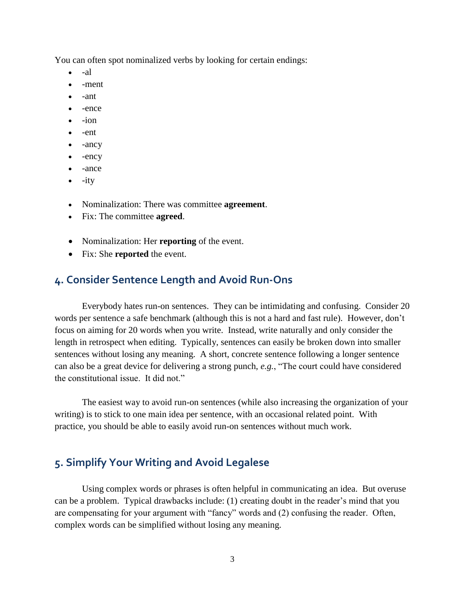You can often spot nominalized verbs by looking for certain endings:

- -al
- -ment
- -ant
- -ence
- $\bullet$   $-i$ on
- $\bullet$  -ent
- -ancy
- $\bullet$  -ency
- -ance
- $\bullet$  -ity
- Nominalization: There was committee **agreement**.
- Fix: The committee **agreed**.
- Nominalization: Her **reporting** of the event.
- Fix: She **reported** the event.

## **4. Consider Sentence Length and Avoid Run-Ons**

Everybody hates run-on sentences. They can be intimidating and confusing. Consider 20 words per sentence a safe benchmark (although this is not a hard and fast rule). However, don't focus on aiming for 20 words when you write. Instead, write naturally and only consider the length in retrospect when editing. Typically, sentences can easily be broken down into smaller sentences without losing any meaning. A short, concrete sentence following a longer sentence can also be a great device for delivering a strong punch, *e.g.*, "The court could have considered the constitutional issue. It did not."

The easiest way to avoid run-on sentences (while also increasing the organization of your writing) is to stick to one main idea per sentence, with an occasional related point. With practice, you should be able to easily avoid run-on sentences without much work.

## **5. Simplify Your Writing and Avoid Legalese**

Using complex words or phrases is often helpful in communicating an idea. But overuse can be a problem. Typical drawbacks include: (1) creating doubt in the reader's mind that you are compensating for your argument with "fancy" words and (2) confusing the reader. Often, complex words can be simplified without losing any meaning.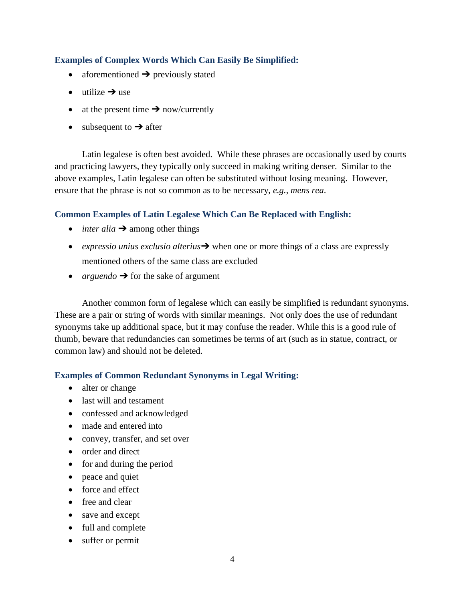#### **Examples of Complex Words Which Can Easily Be Simplified:**

- aforementioned  $\rightarrow$  previously stated
- $\bullet$  utilize  $\rightarrow$  use
- at the present time  $\rightarrow$  now/currently
- $\bullet$  subsequent to  $\rightarrow$  after

Latin legalese is often best avoided. While these phrases are occasionally used by courts and practicing lawyers, they typically only succeed in making writing denser. Similar to the above examples, Latin legalese can often be substituted without losing meaning. However, ensure that the phrase is not so common as to be necessary, *e.g.*, *mens rea*.

#### **Common Examples of Latin Legalese Which Can Be Replaced with English:**

- $\bullet$  *inter alia*  $\rightarrow$  among other things
- *expressio unius exclusio alterius*➔ when one or more things of a class are expressly mentioned others of the same class are excluded
- *arguendo* ➔ for the sake of argument

Another common form of legalese which can easily be simplified is redundant synonyms. These are a pair or string of words with similar meanings. Not only does the use of redundant synonyms take up additional space, but it may confuse the reader. While this is a good rule of thumb, beware that redundancies can sometimes be terms of art (such as in statue, contract, or common law) and should not be deleted.

#### **Examples of Common Redundant Synonyms in Legal Writing:**

- alter or change
- last will and testament
- confessed and acknowledged
- made and entered into
- convey, transfer, and set over
- order and direct
- for and during the period
- peace and quiet
- force and effect
- free and clear
- save and except
- full and complete
- suffer or permit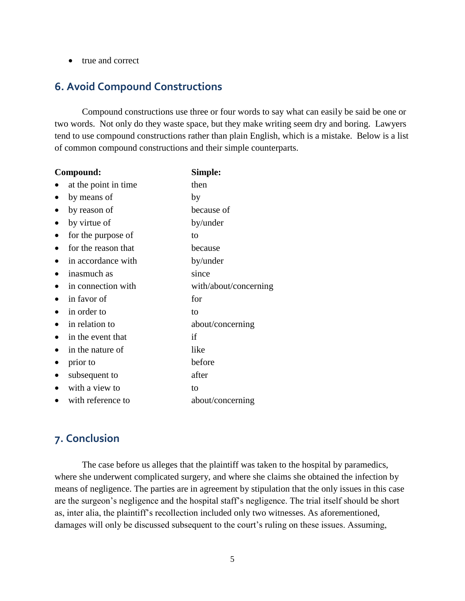• true and correct

## **6. Avoid Compound Constructions**

Compound constructions use three or four words to say what can easily be said be one or two words. Not only do they waste space, but they make writing seem dry and boring. Lawyers tend to use compound constructions rather than plain English, which is a mistake. Below is a list of common compound constructions and their simple counterparts.

| Compound:                        | Simple:               |
|----------------------------------|-----------------------|
| at the point in time             | then                  |
| by means of<br>$\bullet$         | by                    |
| by reason of<br>$\bullet$        | because of            |
| by virtue of<br>$\bullet$        | by/under              |
| for the purpose of<br>$\bullet$  | to                    |
| for the reason that<br>$\bullet$ | because               |
| in accordance with<br>٠          | by/under              |
| inasmuch as<br>٠                 | since                 |
| in connection with<br>$\bullet$  | with/about/concerning |
| in favor of                      | for                   |
| in order to<br>$\bullet$         | to                    |
| in relation to<br>$\bullet$      | about/concerning      |
| in the event that<br>$\bullet$   | if                    |
| in the nature of<br>$\bullet$    | like                  |
| prior to<br>$\bullet$            | before                |
| subsequent to<br>$\bullet$       | after                 |
| with a view to                   | to                    |
| with reference to                | about/concerning      |

# **7. Conclusion**

The case before us alleges that the plaintiff was taken to the hospital by paramedics, where she underwent complicated surgery, and where she claims she obtained the infection by means of negligence. The parties are in agreement by stipulation that the only issues in this case are the surgeon's negligence and the hospital staff's negligence. The trial itself should be short as, inter alia, the plaintiff's recollection included only two witnesses. As aforementioned, damages will only be discussed subsequent to the court's ruling on these issues. Assuming,